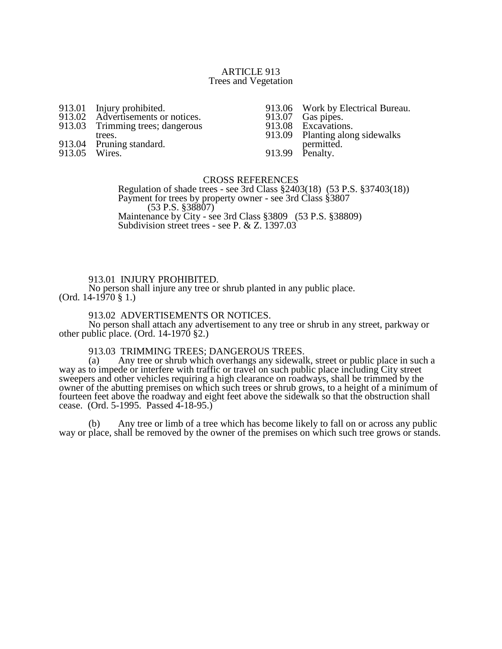### ARTICLE 913 Trees and Vegetation

- 913.01 Injury prohibited.<br>913.02 Advertisements or
- 913.02 Advertisements or notices.<br>913.03 Trimming trees; dangerous
- Trimming trees; dangerous
- trees.
- 913.04 Pruning standard.
- 913.05 Wires.

913.06 Work by Electrical Bureau.<br>913.07 Gas pipes.

913.07 Gas pipes.<br>913.08 Excavation

913.08 Excavations.<br>913.09 Planting alon

Planting along sidewalks permitted.

913.99 Penalty.

### CROSS REFERENCES

Regulation of shade trees - see 3rd Class §2403(18) (53 P.S. §37403(18)) Payment for trees by property owner - see 3rd Class §3807 (53 P.S. §38807) Maintenance by City - see 3rd Class §3809 (53 P.S. §38809) Subdivision street trees - see P. & Z. 1397.03

## 913.01 INJURY PROHIBITED.

No person shall injure any tree or shrub planted in any public place. (Ord.  $14-1970 \text{ }$  \$ 1.)

## 913.02 ADVERTISEMENTS OR NOTICES.

No person shall attach any advertisement to any tree or shrub in any street, parkway or other public place. (Ord. 14-1970 §2.)

## 913.03 TRIMMING TREES; DANGEROUS TREES.

(a) Any tree or shrub which overhangs any sidewalk, street or public place in such a way as to impede or interfere with traffic or travel on such public place including City street sweepers and other vehicles requiring a high clearance on roadways, shall be trimmed by the owner of the abutting premises on which such trees or shrub grows, to a height of a minimum of fourteen feet above the roadway and eight feet above the sidewalk so that the obstruction shall cease. (Ord. 5-1995. Passed 4-18-95.)

(b) Any tree or limb of a tree which has become likely to fall on or across any public way or place, shall be removed by the owner of the premises on which such tree grows or stands.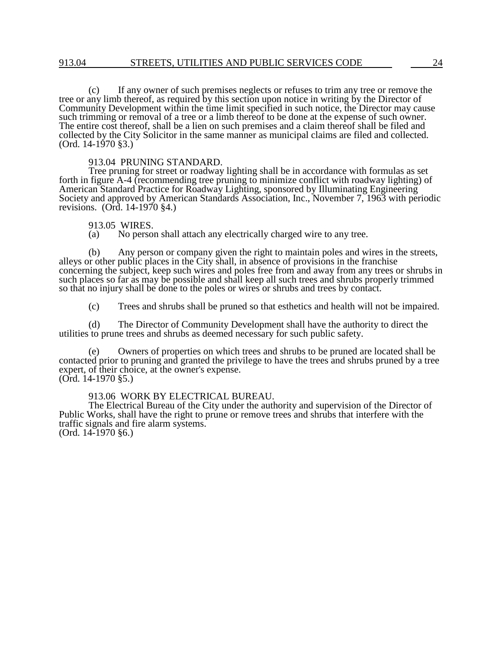(c) If any owner of such premises neglects or refuses to trim any tree or remove the tree or any limb thereof, as required by this section upon notice in writing by the Director of Community Development within the time limit specified in such notice, the Director may cause such trimming or removal of a tree or a limb thereof to be done at the expense of such owner. The entire cost thereof, shall be a lien on such premises and a claim thereof shall be filed and collected by the City Solicitor in the same manner as municipal claims are filed and collected.  $(Ord. 14-1970 \$ 

# 913.04 PRUNING STANDARD.

Tree pruning for street or roadway lighting shall be in accordance with formulas as set forth in figure A-4 (recommending tree pruning to minimize conflict with roadway lighting) of American Standard Practice for Roadway Lighting, sponsored by Illuminating Engineering Society and approved by American Standards Association, Inc., November 7, 1963 with periodic revisions. (Ord. 14-1970 §4.)

# 913.05 WIRES.<br>(a) No person

No person shall attach any electrically charged wire to any tree.

(b) Any person or company given the right to maintain poles and wires in the streets, alleys or other public places in the City shall, in absence of provisions in the franchise concerning the subject, keep such wires and poles free from and away from any trees or shrubs in such places so far as may be possible and shall keep all such trees and shrubs properly trimmed so that no injury shall be done to the poles or wires or shrubs and trees by contact.

(c) Trees and shrubs shall be pruned so that esthetics and health will not be impaired.

(d) The Director of Community Development shall have the authority to direct the utilities to prune trees and shrubs as deemed necessary for such public safety.

(e) Owners of properties on which trees and shrubs to be pruned are located shall be contacted prior to pruning and granted the privilege to have the trees and shrubs pruned by a tree expert, of their choice, at the owner's expense. (Ord. 14-1970 §5.)

913.06 WORK BY ELECTRICAL BUREAU.

The Electrical Bureau of the City under the authority and supervision of the Director of Public Works, shall have the right to prune or remove trees and shrubs that interfere with the traffic signals and fire alarm systems. (Ord. 14-1970 §6.)